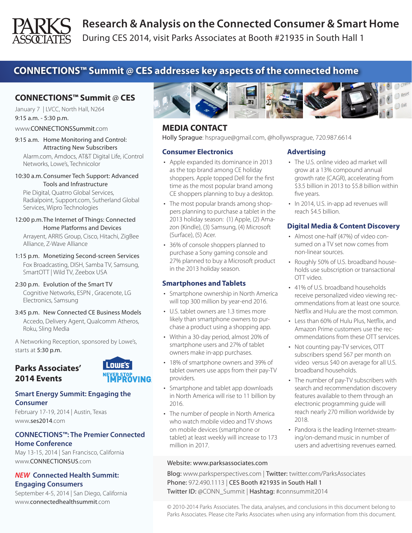

During CES 2014, visit Parks Associates at Booth #21935 in South Hall 1

# **CONNECTIONS™ Summit @ CES addresses key aspects of the connected home**

# **CONNECTIONS™ Summit** @ **CES**

January 7 | LVCC, North Hall, N264 9:15 a.m. - 5:30 p.m.

www.CONNECTIONSSummit.com

9:15 a.m. Home Monitoring and Control: Attracting New Subscribers

Alarm.com, Amdocs, AT&T Digital Life, iControl Networks, Lowe's, Technicolor

10:30 a.m.Consumer Tech Support: Advanced Tools and Infrastructure

Pie Digital, Quatrro Global Services, Radialpoint, Support.com, Sutherland Global Services, Wipro Technologies

- 12:00 p.m.The Internet of Things: Connected Home Platforms and Devices Arrayent, ARRIS Group, Cisco, Hitachi, ZigBee Alliance, Z-Wave Alliance
- 1:15 p.m. Monetizing Second-screen Services Fox Broadcasting, DISH, Samba TV, Samsung, SmartOTT | Wild TV, Zeebox USA
- 2:30 p.m. Evolution of the Smart TV Cognitive Networks, ESPN , Gracenote, LG Electronics, Samsung
- 3:45 p.m. New Connected CE Business Models Accedo, Delivery Agent, Qualcomm Atheros, Roku, Sling Media

A Networking Reception, sponsored by Lowe's, starts at 5:30 p.m.

 $\overline{\phantom{a}}$  Lowe's  $\overline{\phantom{a}}$ 

**NEVER STOP<br>IMPROVING** 



#### **Smart Energy Summit: Engaging the Consumer**

February 17-19, 2014 | Austin, Texas www.ses2014.com

### **CONNECTIONS™: The Premier Connected Home Conference**

May 13-15, 2014 | San Francisco, California www.CONNECTIONSUS.com

#### *NEW* **Connected Health Summit: Engaging Consumers**

September 4-5, 2014 | San Diego, California www.connectedhealthsummit.com



## **MEDIA CONTACT**

Holly Sprague: hsprague@gmail.com, @hollywsprague, 720.987.6614

#### **Consumer Electronics**

- • Apple expanded its dominance in 2013 as the top brand among CE holiday shoppers. Apple topped Dell for the first time as the most popular brand among CE shoppers planning to buy a desktop.
- The most popular brands among shoppers planning to purchase a tablet in the 2013 holiday season: (1) Apple, (2) Amazon (Kindle), (3) Samsung, (4) Microsoft (Surface), (5) Acer.
- 36% of console shoppers planned to purchase a Sony gaming console and 27% planned to buy a Microsoft product in the 2013 holiday season.

### **Smartphones and Tablets**

- Smartphone ownership in North America will top 300 million by year-end 2016.
- • U.S. tablet owners are 1.3 times more likely than smartphone owners to purchase a product using a shopping app.
- • Within a 30-day period, almost 20% of smartphone users and 27% of tablet owners make in-app purchases.
- • 18% of smartphone owners and 39% of tablet owners use apps from their pay-TV providers.
- Smartphone and tablet app downloads in North America will rise to 11 billion by 2016.
- The number of people in North America who watch mobile video and TV shows on mobile devices (smartphone or tablet) at least weekly will increase to 173 million in 2017.

#### Website: www.parksassociates.com

**Advertising**

- The U.S. online video ad market will grow at a 13% compound annual growth rate (CAGR), accelerating from \$3.5 billion in 2013 to \$5.8 billion within five years.
- In 2014, U.S. in-app ad revenues will reach \$4.5 billion.

### **Digital Media & Content Discovery**

- • Almost one-half (47%) of video consumed on a TV set now comes from non-linear sources.
- Roughly 50% of U.S. broadband households use subscription or transactional OTT video.
- 41% of U.S. broadband households receive personalized video viewing recommendations from at least one source. Netflix and Hulu are the most common.
- • Less than 60% of Hulu Plus, Netflix, and Amazon Prime customers use the recommendations from these OTT services.
- Not counting pay-TV services, OTT subscribers spend \$67 per month on video versus \$40 on average for all U.S. broadband households.
- The number of pay-TV subscribers with search and recommendation discovery features available to them through an electronic programming guide will reach nearly 270 million worldwide by 2018.
- Pandora is the leading Internet-streaming/on-demand music in number of users and advertising revenues earned.

Blog: www.parksperspectives.com | Twitter: twitter.com/ParksAssociates Phone: 972.490.1113 | CES Booth #21935 in South Hall 1 Twitter ID: @CONN\_Summit | Hashtag: #connsummit2014

© 2010-2014 Parks Associates. The data, analyses, and conclusions in this document belong to Parks Associates. Please cite Parks Associates when using any information from this document.